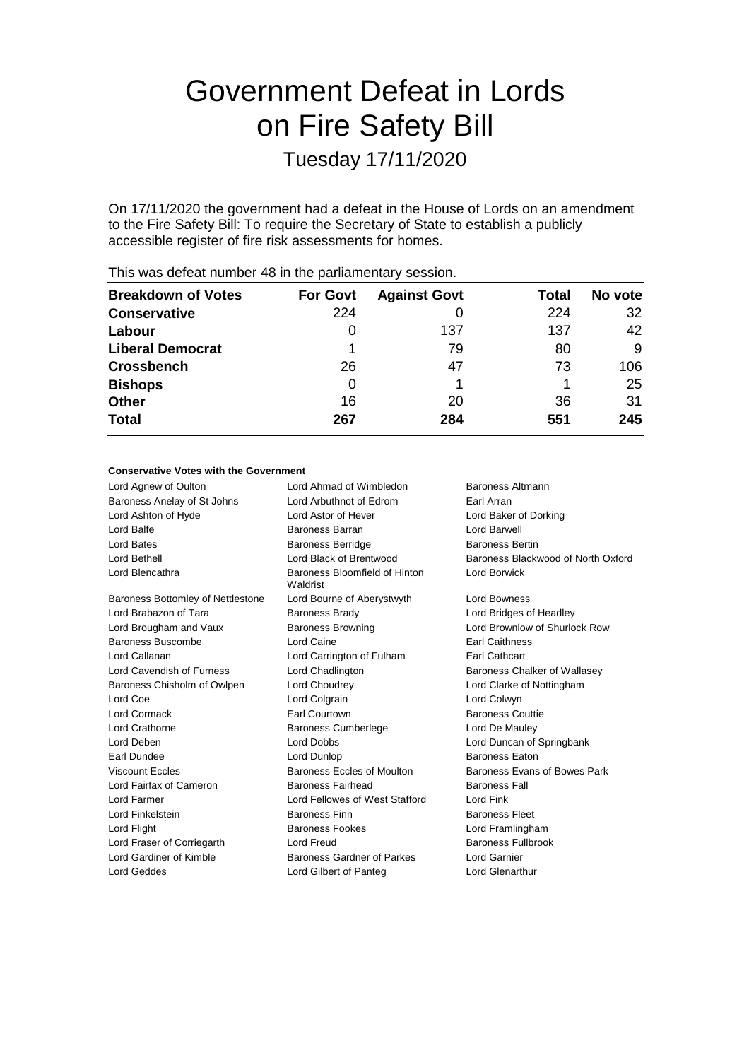# Government Defeat in Lords on Fire Safety Bill

Tuesday 17/11/2020

On 17/11/2020 the government had a defeat in the House of Lords on an amendment to the Fire Safety Bill: To require the Secretary of State to establish a publicly accessible register of fire risk assessments for homes.

|                           |                 | -                   |       |         |
|---------------------------|-----------------|---------------------|-------|---------|
| <b>Breakdown of Votes</b> | <b>For Govt</b> | <b>Against Govt</b> | Total | No vote |
| <b>Conservative</b>       | 224             |                     | 224   | 32      |
| Labour                    | O               | 137                 | 137   | 42      |
| <b>Liberal Democrat</b>   |                 | 79                  | 80    | 9       |
| <b>Crossbench</b>         | 26              | 47                  | 73    | 106     |
| <b>Bishops</b>            | 0               |                     |       | 25      |
| <b>Other</b>              | 16              | 20                  | 36    | 31      |
| <b>Total</b>              | 267             | 284                 | 551   | 245     |
|                           |                 |                     |       |         |

This was defeat number 48 in the parliamentary session.

## **Conservative Votes with the Government** Lord Agnew of Oulton **Lord Ahmad of Wimbledon** Baroness Altmann Baroness Anelay of St Johns Lord Arbuthnot of Edrom Earl Arran Lord Ashton of Hyde Lord Astor of Hever Lord Baker of Dorking Lord Balfe **Baroness Barran** Baroness Barran **Lord Barwell** Lord Bates **Baroness Berridge** Baroness Bertin Lord Bethell Lord Black of Brentwood Baroness Blackwood of North Oxford Lord Blencathra **Baroness** Bloomfield of Hinton Waldrist Lord Borwick Baroness Bottomley of Nettlestone Lord Bourne of Aberystwyth Lord Bowness Lord Brabazon of Tara **Baroness Brady Baroness Brady** Lord Bridges of Headley Lord Brougham and Vaux Baroness Browning Cord Brownlow of Shurlock Row Baroness Buscombe **Earl Caine** Lord Caine **Earl Caithness** Earl Caithness Lord Callanan Lord Carrington of Fulham Earl Cathcart Lord Cavendish of Furness **Lord Chadlington** Baroness Chalker of Wallasey Baroness Chisholm of Owlpen Lord Choudrey Lord Clarke of Nottingham Lord Coe Lord Colgrain Contract Lord Colwyn Lord Cormack Earl Courtown Baroness Couttie Lord Crathorne Baroness Cumberlege Lord De Mauley Lord Deben Lord Dobbs Lord Duncan of Springbank Earl Dundee Lord Dunlop Baroness Eaton Viscount Eccles **Baroness Eccles of Moulton** Baroness Evans of Bowes Park Lord Fairfax of Cameron Baroness Fairhead Baroness Fall Lord Farmer Lord Fellowes of West Stafford Lord Fink Lord Finkelstein **Baroness Finn** Baroness Finn Baroness Fleet Lord Flight **Baroness Fookes** Lord Framlingham Lord Fraser of Corriegarth Lord Freud Lord Freud Baroness Fullbrook Lord Gardiner of Kimble Baroness Gardner of Parkes Lord Garnier Lord Geddes Lord Gilbert of Panteg Lord Glenarthur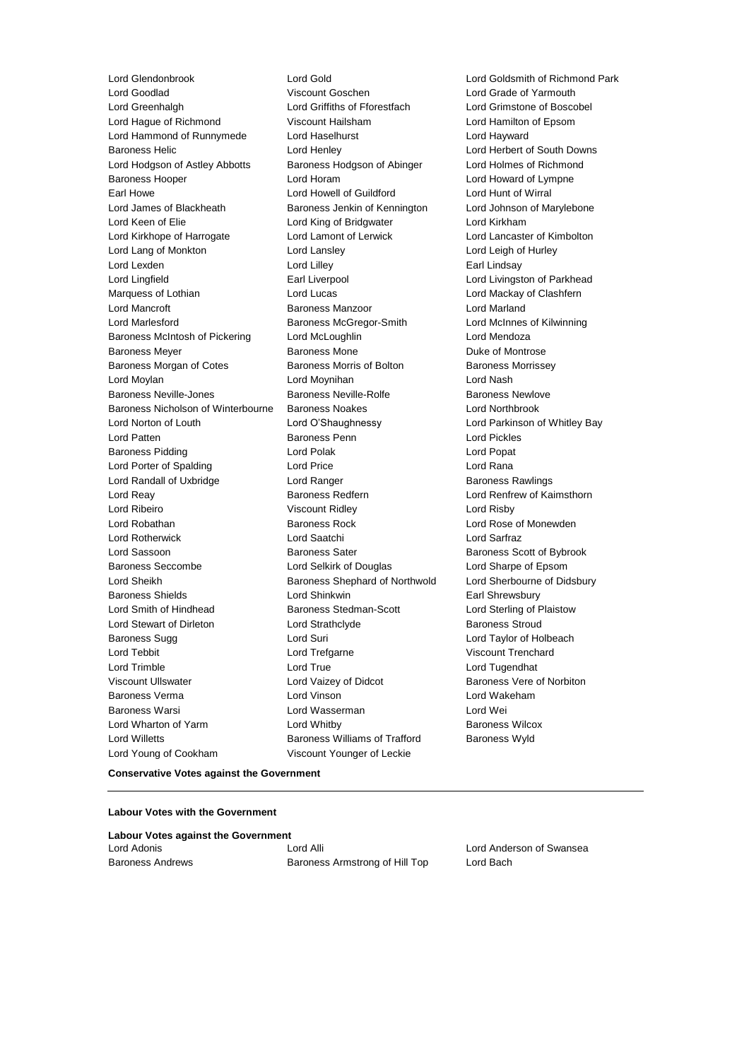Lord Glendonbrook Lord Gold Lord Goldsmith of Richmond Park<br>
Lord Goodlad Cord Coschen Lord Grade of Yarmouth<br>
Lord Grade of Yarmouth Lord Greenhalgh Lord Griffiths of Fforestfach Lord Grimstone of Boscobel Lord Hague of Richmond Viscount Hailsham Lord Hamilton of Epsom Lord Hammond of Runnymede Lord Haselhurst Lord Hayward Baroness Helic Lord Henley Lord Herbert of South Downs Lord Hodgson of Astley Abbotts Baroness Hodgson of Abinger Lord Holmes of Richmond Baroness Hooper Lord Horam Lord Howard of Lympne Earl Howe Lord Howell of Guildford Lord Hunt of Wirral Lord James of Blackheath Baroness Jenkin of Kennington Lord Johnson of Marylebone Lord Keen of Elie Lord King of Bridgwater Lord Kirkham Lord Kirkhope of Harrogate Lord Lamont of Lerwick Lord Lancaster of Kimbolton Lord Lang of Monkton Lord Lansley Lord Leigh of Hurley Lord Lexden **Lord Lindsay** Lord Lilley **Communication** Lord Lindsay Lord Lingfield **Earl Liverpool** Earl Liverpool **Lord Livingston of Parkhead** Marquess of Lothian **Lord Lucas** Lord Lucas **Lord Mackay of Clashfern** Lord Mancroft Baroness Manzoor Lord Marland Lord Marlesford **Baroness McGregor-Smith** Lord McInnes of Kilwinning Baroness McIntosh of Pickering Lord McLoughlin Lord Mendoza Baroness Meyer **Baroness Mone** Baroness Mone **Duke of Montrose** Baroness Morgan of Cotes **Baroness Morris of Bolton** Baroness Morrissey Lord Moylan Lord Moynihan Lord Nash Baroness Neville-Jones **Baroness Neville-Rolfe** Baroness Newlove Baroness Nicholson of Winterbourne Baroness Noakes Lord Northbrook Lord Norton of Louth Lord O'Shaughnessy Lord Parkinson of Whitley Bay Lord Patten Baroness Penn Lord Pickles Baroness Pidding Lord Polak Lord Popat Lord Porter of Spalding Lord Price Lord Rana Lord Randall of Uxbridge **Lord Ranger** Lord Ranger **Baroness Rawlings** Lord Reay **Baroness Redfern Baroness Redfern Lord Renfrew of Kaimsthorn** Lord Ribeiro Viscount Ridley Lord Risby Lord Robathan **Baroness Rock** Lord Rose of Monewden Lord Rotherwick Lord Saatchi Lord Sarfraz Lord Sassoon **Baroness Sater** Baroness Sater Baroness Scott of Bybrook Baroness Seccombe Lord Selkirk of Douglas Lord Sharpe of Epsom Lord Sheikh **Baroness Shephard of Northwold** Lord Sherbourne of Didsbury Baroness Shields **Lord Shinkwin** Earl Shrewsbury Lord Smith of Hindhead **Baroness Stedman-Scott** Lord Sterling of Plaistow Lord Stewart of Dirleton Lord Strathclyde Baroness Stroud Baroness Sugg **Lord Suri** Lord Taylor of Holbeach Lord Tebbit Lord Trefgarne Viscount Trenchard Lord Trimble **Lord True** Lord True **Lord True** Lord Tugendhat Viscount Ullswater Lord Vaizey of Didcot Baroness Vere of Norbiton Baroness Verma Lord Vinson Lord Wakeham Baroness Warsi Lord Wasserman Lord Wei Lord Wharton of Yarm **Lord Whitby Constant Constant Constant Constant Constant Constant Constant Constant Constant Constant Constant Constant Constant Constant Constant Constant Constant Constant Constant Constant Consta** Lord Willetts **Baroness Williams of Trafford** Baroness Wyld Lord Young of Cookham Viscount Younger of Leckie

Viscount Goschen **Lord Grade of Yarmouth**<br>
Lord Griffiths of Fforestfach Lord Grimstone of Bosco

**Conservative Votes against the Government**

#### **Labour Votes with the Government**

| <b>Labour Votes against the Government</b> |                                |                          |  |  |
|--------------------------------------------|--------------------------------|--------------------------|--|--|
| Lord Adonis                                | Lord Alli                      | Lord Anderson of Swansea |  |  |
| <b>Baroness Andrews</b>                    | Baroness Armstrong of Hill Top | Lord Bach                |  |  |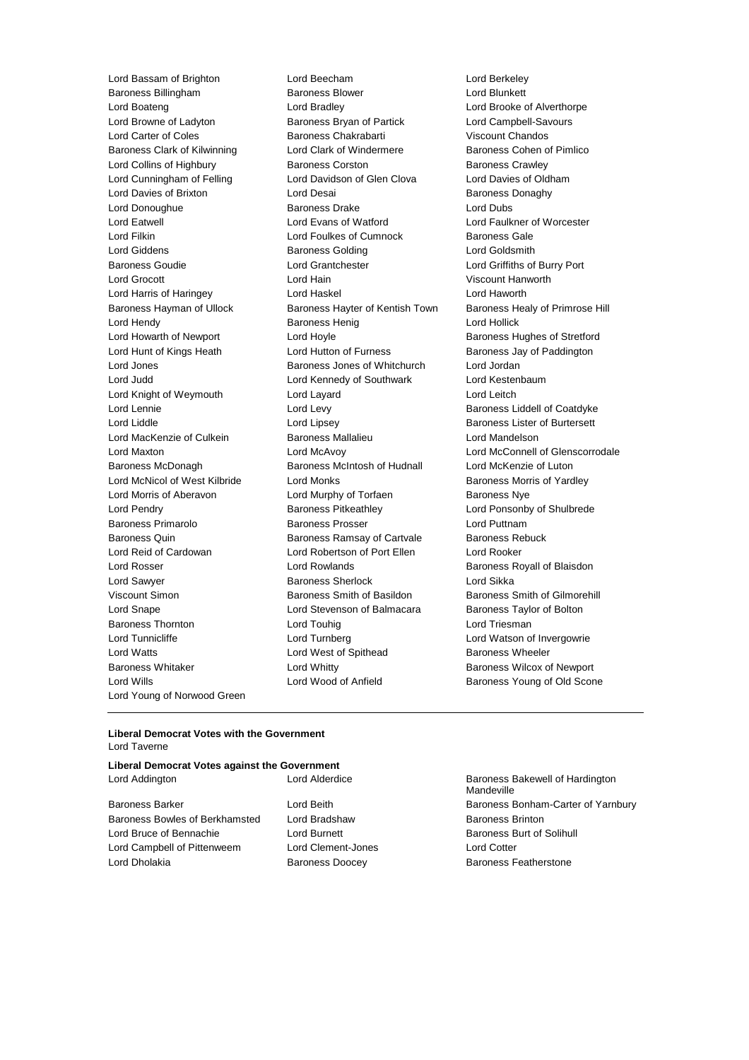Baroness Billingham Baroness Blower Lord Blunkett Lord Boateng Lord Bradley Lord Brooke of Alverthorpe Lord Browne of Ladyton **Baroness Bryan of Partick** Lord Campbell-Savours Lord Carter of Coles **Baroness Chakrabarti** Viscount Chandos Baroness Clark of Kilwinning Lord Clark of Windermere Baroness Cohen of Pimlico Lord Collins of Highbury **Baroness Corston** Baroness Crawley Lord Cunningham of Felling Lord Davidson of Glen Clova Lord Davies of Oldham Lord Davies of Brixton **Lord Desai Lord Desai** Baroness Donaghy Lord Donoughue Baroness Drake Lord Dubs Lord Eatwell Lord Evans of Watford Lord Faulkner of Worcester Lord Filkin **Lord Foulkes of Cumnock** Baroness Gale Lord Giddens Baroness Golding Lord Goldsmith Baroness Goudie Lord Grantchester Lord Griffiths of Burry Port Lord Grocott Lord Hain Viscount Hanworth Lord Harris of Haringey Lord Haskel Lord Haworth Baroness Hayman of Ullock Baroness Hayter of Kentish Town Baroness Healy of Primrose Hill Lord Hendy Baroness Henig Lord Hollick Lord Howarth of Newport **Lord Hoyle Lord Hoyle** Baroness Hughes of Stretford Lord Hunt of Kings Heath Lord Hutton of Furness Baroness Jay of Paddington Lord Jones Baroness Jones of Whitchurch Lord Jordan Lord Judd Lord Kennedy of Southwark Lord Kestenbaum Lord Knight of Weymouth Lord Layard Lord Leitch Lord Lennie **Lord Levy** Lord Levy **Baroness Liddell of Coatdyke** Lord Liddle Lord Lipsey Baroness Lister of Burtersett Lord MacKenzie of Culkein **Baroness Mallalieu** Lord Mandelson Baroness McDonagh Baroness McIntosh of Hudnall Lord McKenzie of Luton Lord McNicol of West Kilbride Lord Monks **Baroness Morris of Yardley** Lord Morris of Aberavon Lord Murphy of Torfaen Baroness Nye Lord Pendry **Baroness Pitkeathley Baroness Pitkeathley Lord Ponsonby of Shulbrede** Baroness Primarolo Baroness Prosser Lord Puttnam Baroness Quin **Baroness Ramsay of Cartvale** Baroness Rebuck Lord Reid of Cardowan Lord Robertson of Port Ellen Lord Rooker Lord Rosser Lord Rowlands Baroness Royall of Blaisdon Lord Sawyer Baroness Sherlock Lord Sikka Viscount Simon Baroness Smith of Basildon Baroness Smith of Gilmorehill Lord Snape Lord Stevenson of Balmacara Baroness Taylor of Bolton Baroness Thornton **Lord Touhig** Lord Touhig Lord Triesman Lord Tunnicliffe Lord Turnberg Lord Watson of Invergowrie Lord Watts **Lord West of Spithead** Baroness Wheeler Baroness Whitaker **Lord Whitty Communist Example 2** Baroness Wilcox of Newport Lord Wills Lord Wood of Anfield Baroness Young of Old Scone Lord Young of Norwood Green

Lord Bassam of Brighton Lord Beecham Lord Berkeley

Lord Maxton Lord McAvoy Lord McConnell of Glenscorrodale

#### **Liberal Democrat Votes with the Government** Lord Taverne

# **Liberal Democrat Votes against the Government** Lord Addington Lord Alderdice Baroness Bakewell of Hardington Baroness Barker **Lord Beith** Baroness Bonham-Carter of Yarnbury Baroness Bowles of Berkhamsted Lord Bradshaw Baroness Brinton Lord Bruce of Bennachie **Lord Burnett** Lord Burnett **Baroness Burt of Solihull**

Lord Campbell of Pittenweem Lord Clement-Jones Lord Cotter Lord Dholakia Baroness Doocey Baroness Featherstone

Mandeville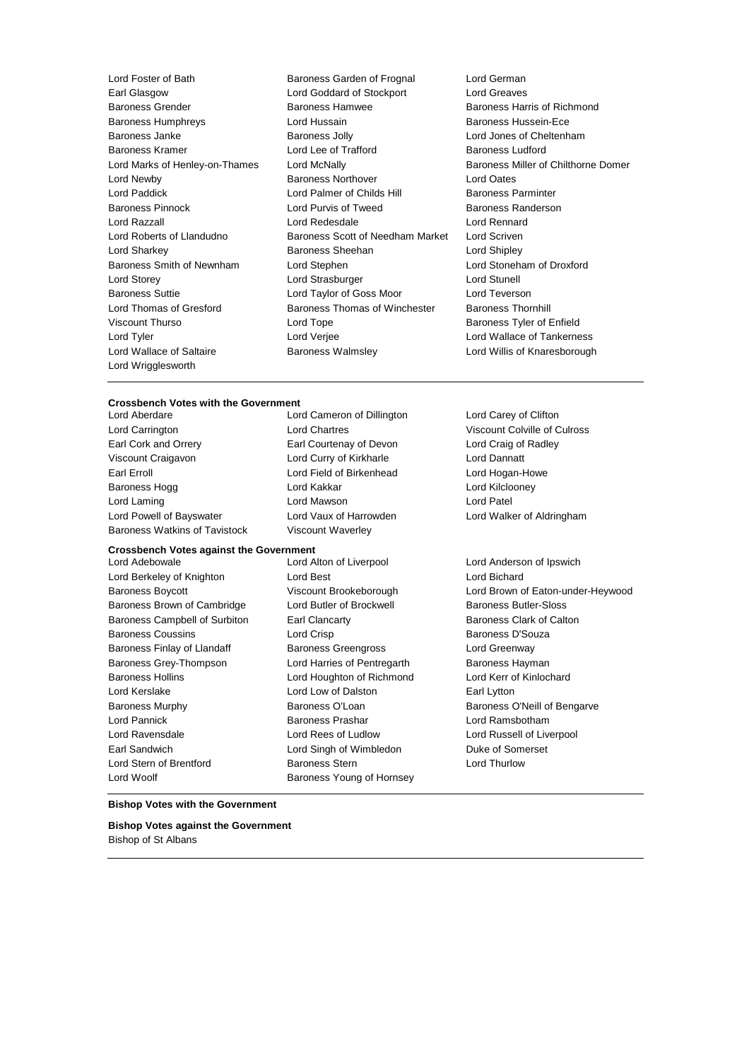Lord Marks of Henley-on-Thames Lord McNally Lord Wrigglesworth

Lord Foster of Bath Baroness Garden of Frognal Lord German Earl Glasgow Lord Goddard of Stockport Lord Greaves Baroness Grender Baroness Hamwee Baroness Harris of Richmond Baroness Humphreys Lord Hussain Baroness Hussein-Ece Baroness Janke Baroness Jolly Lord Jones of Cheltenham Baroness Kramer Lord Lee of Trafford Baroness Ludford Lord Newby Baroness Northover Lord Oates Lord Paddick **Lord Palmer of Childs Hill Baroness Parminter** Baroness Pinnock **Lord Purvis of Tweed** Baroness Randerson Lord Razzall Lord Redesdale Lord Rennard Lord Roberts of Llandudno Baroness Scott of Needham Market Lord Scriven Lord Sharkey **Baroness Sheehan** Lord Shipley **Constants** Baroness Smith of Newnham Lord Stephen Lord Stoneham of Droxford Lord Storey **Lord Strasburger** Lord Strasburger **Lord Strasburger** Lord Stunell Baroness Suttie Lord Taylor of Goss Moor Lord Teverson Lord Thomas of Gresford Baroness Thomas of Winchester Baroness Thornhill Viscount Thurso **Community Constructs** Lord Tope **Baroness Tyler of Enfield** Lord Tyler Lord Verjee Lord Wallace of Tankerness Lord Wallace of Saltaire Baroness Walmsley Lord Willis of Knaresborough

#### **Crossbench Votes with the Government**

Lord Aberdare Lord Cameron of Dillington Lord Carey of Clifton Lord Carrington Lord Chartres Viscount Colville of Culross Earl Cork and Orrery Earl Courtenay of Devon Lord Craig of Radley Viscount Craigavon Lord Curry of Kirkharle Lord Dannatt Earl Erroll Lord Field of Birkenhead Lord Hogan-Howe Baroness Hogg **Communist Construction Construction** Lord Kakkar **Lord Kilclooney** Lord Laming Lord Mawson Lord Patel Lord Powell of Bayswater Lord Vaux of Harrowden Lord Walker of Aldringham Baroness Watkins of Tavistock Viscount Waverley

#### **Crossbench Votes against the Government**

Lord Berkeley of Knighton Lord Best Lord Bichard Baroness Brown of Cambridge Lord Butler of Brockwell Baroness Butler-Sloss Baroness Campbell of Surbiton Earl Clancarty **Example 2** Baroness Clark of Calton Baroness Coussins **Baroness Coussins** Lord Crisp **Baroness D'Souza** Baroness Finlay of Llandaff **Baroness Greengross** Lord Greenway Baroness Grey-Thompson Lord Harries of Pentregarth Baroness Hayman Baroness Hollins Lord Houghton of Richmond Lord Kerr of Kinlochard Lord Kerslake Lord Low of Dalston Earl Lytton Baroness Murphy **Baroness O'Loan** Baroness O'Loan **Baroness O'Neill of Bengarve** Lord Pannick Baroness Prashar Lord Ramsbotham Lord Ravensdale Lord Rees of Ludlow Lord Russell of Liverpool Earl Sandwich Lord Singh of Wimbledon Duke of Somerset Lord Stern of Brentford Baroness Stern Lord Thurlow Lord Woolf **Baroness Young of Hornsey** 

Lord Adebowale Lord Alton of Liverpool Lord Anderson of Ipswich

Baroness Boycott Viscount Brookeborough Lord Brown of Eaton-under-Heywood

#### **Bishop Votes with the Government**

#### **Bishop Votes against the Government** Bishop of St Albans